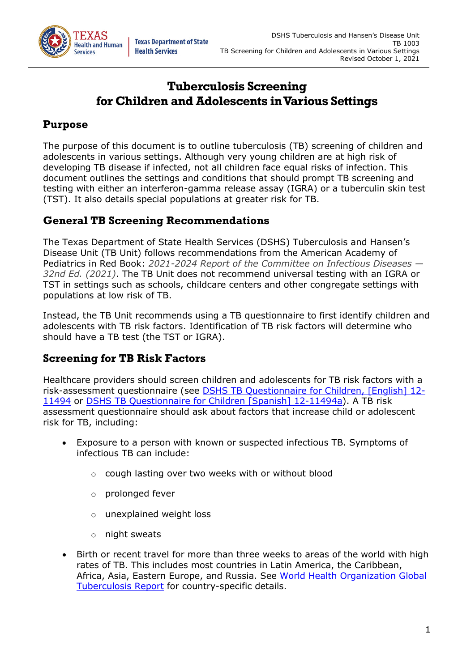

# **Tuberculosis Screening for Children and Adolescents in Various Settings**

### **Purpose**

The purpose of this document is to outline tuberculosis (TB) screening of children and adolescents in various settings. Although very young children are at high risk of developing TB disease if infected, not all children face equal risks of infection. This document outlines the settings and conditions that should prompt TB screening and testing with either an interferon-gamma release assay (IGRA) or a tuberculin skin test (TST). It also details special populations at greater risk for TB.

## **General TB Screening Recommendations**

The Texas Department of State Health Services (DSHS) Tuberculosis and Hansen's Disease Unit (TB Unit) follows recommendations from the American Academy of Pediatrics in Red Book: *2021-2024 Report of the Committee on Infectious Diseases — 32nd Ed. (2021)*. The TB Unit does not recommend universal testing with an IGRA or TST in settings such as schools, childcare centers and other congregate settings with populations at low risk of TB.

Instead, the TB Unit recommends using a TB questionnaire to first identify children and adolescents with TB risk factors. Identification of TB risk factors will determine who should have a TB test (the TST or IGRA).

## **Screening for TB Risk Factors**

Healthcare providers should screen children and adolescents for TB risk factors with a risk-assessment questionnaire (see [DSHS TB Questionnaire for Children, \[English\] 12-](https://www.dshs.texas.gov/IDCU/disease/tb/forms/DOCS/12-11494.doc) [11494](https://www.dshs.texas.gov/IDCU/disease/tb/forms/DOCS/12-11494.doc) or [DSHS TB Questionnaire for Children \[Spanish\] 12-11494a\)](https://www.dshs.texas.gov/IDCU/disease/tb/forms/DOCS/12-11494a.doc). A TB risk assessment questionnaire should ask about factors that increase child or adolescent risk for TB, including:

- Exposure to a person with known or suspected infectious TB. Symptoms of infectious TB can include:
	- o cough lasting over two weeks with or without blood
	- o prolonged fever
	- o unexplained weight loss
	- o night sweats
- Birth or recent travel for more than three weeks to areas of the world with high rates of TB. This includes most countries in Latin America, the Caribbean, Africa, Asia, Eastern Europe, and Russia. See [World Health Organization Global](https://www.who.int/tb/publications/global_report/en/)  [Tuberculosis Report](https://www.who.int/tb/publications/global_report/en/) for country-specific details.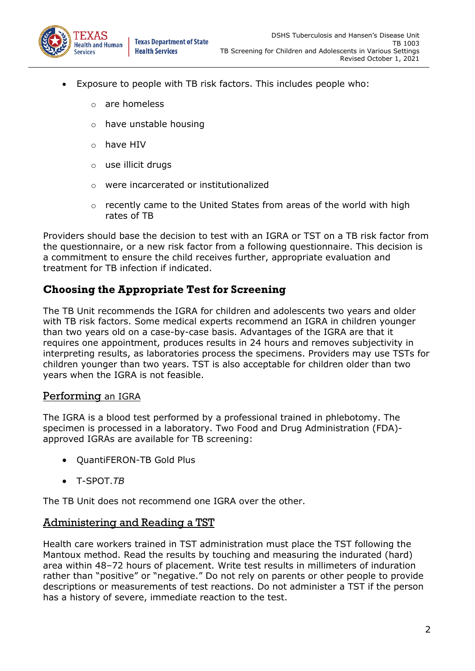

- Exposure to people with TB risk factors. This includes people who:
	- are homeless
	- o have unstable housing
	- o have HIV
	- o use illicit drugs
	- o were incarcerated or institutionalized
	- $\circ$  recently came to the United States from areas of the world with high rates of TB

Providers should base the decision to test with an IGRA or TST on a TB risk factor from the questionnaire, or a new risk factor from a following questionnaire. This decision is a commitment to ensure the child receives further, appropriate evaluation and treatment for TB infection if indicated.

## <span id="page-1-0"></span>**Choosing the Appropriate Test for Screening**

The TB Unit recommends the IGRA for children and adolescents two years and older with TB risk factors. Some medical experts recommend an IGRA in children younger than two years old on a case-by-case basis. Advantages of the IGRA are that it requires one appointment, produces results in 24 hours and removes subjectivity in interpreting results, as laboratories process the specimens. Providers may use TSTs for children younger than two years. TST is also acceptable for children older than two years when the IGRA is not feasible.

### Performing an IGRA

The IGRA is a blood test performed by a professional trained in phlebotomy. The specimen is processed in a laboratory. Two Food and Drug Administration (FDA) approved IGRAs are available for TB screening:

- QuantiFERON-TB Gold Plus
- T-SPOT.*TB*

The TB Unit does not recommend one IGRA over the other.

#### <span id="page-1-1"></span>Administering and Reading a TST

Health care workers trained in TST administration must place the TST following the Mantoux method. Read the results by touching and measuring the indurated (hard) area within 48–72 hours of placement. Write test results in millimeters of induration rather than "positive" or "negative." Do not rely on parents or other people to provide descriptions or measurements of test reactions. Do not administer a TST if the person has a history of severe, immediate reaction to the test.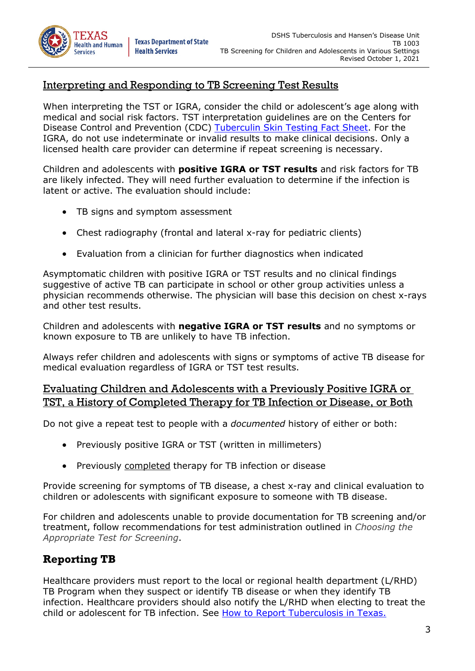TB 1003

## <span id="page-2-0"></span>Interpreting and Responding to TB Screening Test Results

When interpreting the TST or IGRA, consider the child or adolescent's age along with medical and social risk factors. TST interpretation guidelines are on the Centers for Disease Control and Prevention (CDC) [Tuberculin Skin Testing Fact Sheet.](https://www.cdc.gov/tb/publications/factsheets/testing/skintesting.pdf?ACSTrackingID=USCDCNPIN_151-DM45418&ACSTrackingLabel=TB%20Notes%20Issue%204%3A%20Updates%20from%20CDC%27s%20Division%20of%20Tuberculosis%20Elimination&deliveryName=USCDCNPIN_151-DM45418) For the IGRA, do not use indeterminate or invalid results to make clinical decisions. Only a licensed health care provider can determine if repeat screening is necessary.

Children and adolescents with **positive IGRA or TST results** and risk factors for TB are likely infected. They will need further evaluation to determine if the infection is latent or active. The evaluation should include:

TB signs and symptom assessment

**Health Services** 

- Chest radiography (frontal and lateral x-ray for pediatric clients)
- Evaluation from a clinician for further diagnostics when indicated

Asymptomatic children with positive IGRA or TST results and no clinical findings suggestive of active TB can participate in school or other group activities unless a physician recommends otherwise. The physician will base this decision on chest x-rays and other test results.

Children and adolescents with **negative IGRA or TST results** and no symptoms or known exposure to TB are unlikely to have TB infection.

Always refer children and adolescents with signs or symptoms of active TB disease for medical evaluation regardless of IGRA or TST test results.

### Evaluating Children and Adolescents with a Previously Positive IGRA or TST, a History of Completed Therapy for TB Infection or Disease, or Both

Do not give a repeat test to people with a *documented* history of either or both:

- Previously positive IGRA or TST (written in millimeters)
- Previously completed therapy for TB infection or disease

Provide screening for symptoms of TB disease, a chest x-ray and clinical evaluation to children or adolescents with significant exposure to someone with TB disease.

For children and adolescents unable to provide documentation for TB screening and/or treatment, follow recommendations for test administration outlined in *[Choosing the](#page-1-0)  [Appropriate Test for Screening](#page-1-0)*.

## **Reporting TB**

Healthcare providers must report to the local or regional health department (L/RHD) TB Program when they suspect or identify TB disease or when they identify TB infection. Healthcare providers should also notify the L/RHD when electing to treat the child or adolescent for TB infection. See [How to Report Tuberculosis in Texas.](https://www.dshs.texas.gov/disease/tb/report.shtm)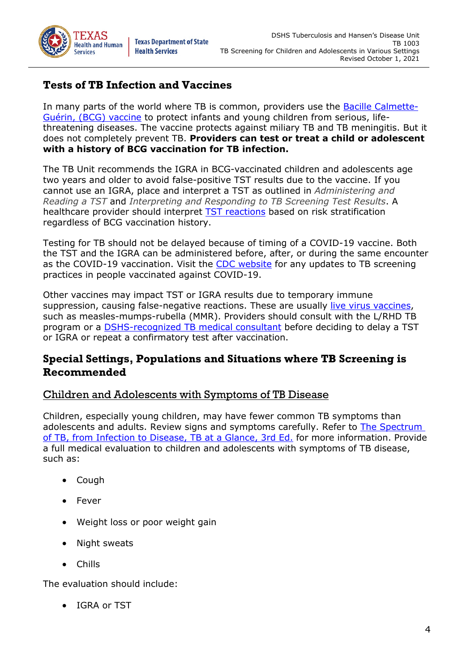

## **Tests of TB Infection and Vaccines**

In many parts of the world where TB is common, providers use the **Bacille Calmette-**[Guérin, \(BCG\) vaccine](https://www.cdc.gov/tb/publications/factsheets/prevention/bcg.htm) to protect infants and young children from serious, lifethreatening diseases. The vaccine protects against miliary TB and TB meningitis. But it does not completely prevent TB. **Providers can test or treat a child or adolescent with a history of BCG vaccination for TB infection.**

The TB Unit recommends the IGRA in BCG-vaccinated children and adolescents age two years and older to avoid false-positive TST results due to the vaccine. If you cannot use an IGRA, place and interpret a TST as outlined in *[Administering and](#page-1-1)  [Reading a TST](#page-1-1)* and *[Interpreting and Responding to TB Screening Test Results](#page-2-0)*. A healthcare provider should interpret [TST reactions](https://www.cdc.gov/tb/publications/factsheets/testing/skintesting.pdf) based on risk stratification regardless of BCG vaccination history.

Testing for TB should not be delayed because of timing of a COVID-19 vaccine. Both the TST and the IGRA can be administered before, after, or during the same encounter as the COVID-19 vaccination. Visit the [CDC website](https://www.cdc.gov/vaccines/covid-19/clinical-considerations/covid-19-vaccines-us.html?CDC_AA_refVal=https%3A%2F%2Fwww.cdc.gov%2Fvaccines%2Fcovid-19%2Finfo-by-product%2Fclinical-considerations.html) for any updates to TB screening practices in people vaccinated against COVID-19.

Other vaccines may impact TST or IGRA results due to temporary immune suppression, causing false-negative reactions. These are usually [live virus vaccines,](https://www.cdc.gov/vaccines/hcp/acip-recs/general-recs/special-situations.html#administration) such as measles-mumps-rubella (MMR). Providers should consult with the L/RHD TB program or a [DSHS-recognized TB medical consultant](https://www.dshs.texas.gov/disease/tb/consultants.shtm) before deciding to delay a TST or IGRA or repeat a confirmatory test after vaccination.

## **Special Settings, Populations and Situations where TB Screening is Recommended**

### Children and Adolescents with Symptoms of TB Disease

Children, especially young children, may have fewer common TB symptoms than adolescents and adults. Review signs and symptoms carefully. Refer to [The Spectrum](https://www.heartlandntbc.org/assets/products/The_Spectrum_of_TB.pdf)  [of TB, from Infection to Disease, TB at a Glance, 3rd Ed.](https://www.heartlandntbc.org/assets/products/The_Spectrum_of_TB.pdf) for more information. Provide a full medical evaluation to children and adolescents with symptoms of TB disease, such as:

- Cough
- Fever
- Weight loss or poor weight gain
- Night sweats
- Chills

The evaluation should include:

• IGRA or TST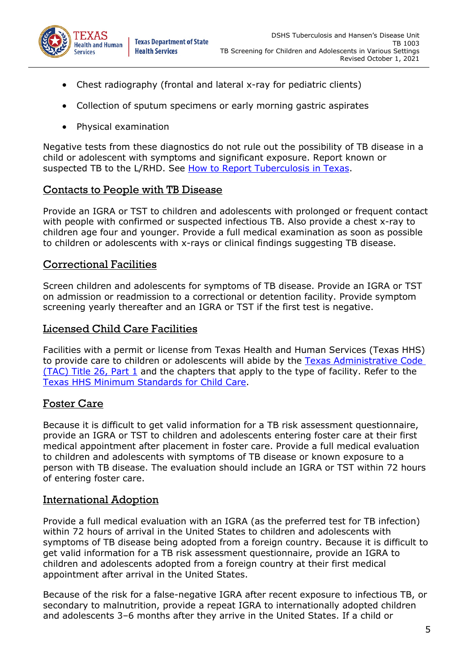

- Chest radiography (frontal and lateral x-ray for pediatric clients)
- Collection of sputum specimens or early morning gastric aspirates
- Physical examination

Negative tests from these diagnostics do not rule out the possibility of TB disease in a child or adolescent with symptoms and significant exposure. Report known or suspected TB to the L/RHD. See [How to Report Tuberculosis in Texas.](https://www.dshs.texas.gov/disease/tb/report.shtm)

#### Contacts to People with TB Disease

Provide an IGRA or TST to children and adolescents with prolonged or frequent contact with people with confirmed or suspected infectious TB. Also provide a chest x-ray to children age four and younger. Provide a full medical examination as soon as possible to children or adolescents with x-rays or clinical findings suggesting TB disease.

### Correctional Facilities

Screen children and adolescents for symptoms of TB disease. Provide an IGRA or TST on admission or readmission to a correctional or detention facility. Provide symptom screening yearly thereafter and an IGRA or TST if the first test is negative.

#### Licensed Child Care Facilities

Facilities with a permit or license from Texas Health and Human Services (Texas HHS) to provide care to children or adolescents will abide by the Texas Administrative Code [\(TAC\) Title 26, Part 1](https://texreg.sos.state.tx.us/public/readtac$ext.ViewTAC?tac_view=3&ti=26&pt=1) and the chapters that apply to the type of facility. Refer to the [Texas HHS Minimum Standards for Child Care.](https://hhs.texas.gov/doing-business-hhs/provider-portals/protective-services-providers/child-care-licensing/minimum-standards)

### Foster Care

Because it is difficult to get valid information for a TB risk assessment questionnaire, provide an IGRA or TST to children and adolescents entering foster care at their first medical appointment after placement in foster care. Provide a full medical evaluation to children and adolescents with symptoms of TB disease or known exposure to a person with TB disease. The evaluation should include an IGRA or TST within 72 hours of entering foster care.

### International Adoption

Provide a full medical evaluation with an IGRA (as the preferred test for TB infection) within 72 hours of arrival in the United States to children and adolescents with symptoms of TB disease being adopted from a foreign country. Because it is difficult to get valid information for a TB risk assessment questionnaire, provide an IGRA to children and adolescents adopted from a foreign country at their first medical appointment after arrival in the United States.

Because of the risk for a false-negative IGRA after recent exposure to infectious TB, or secondary to malnutrition, provide a repeat IGRA to internationally adopted children and adolescents 3–6 months after they arrive in the United States. If a child or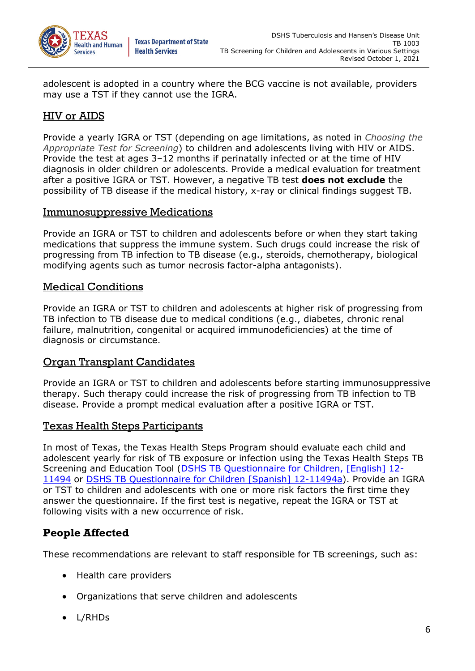

adolescent is adopted in a country where the BCG vaccine is not available, providers may use a TST if they cannot use the IGRA.

## HIV or AIDS

Provide a yearly IGRA or TST (depending on age limitations, as noted in *[Choosing the](#page-1-0)  [Appropriate Test for Screening](#page-1-0)*) to children and adolescents living with HIV or AIDS. Provide the test at ages 3–12 months if perinatally infected or at the time of HIV diagnosis in older children or adolescents. Provide a medical evaluation for treatment after a positive IGRA or TST. However, a negative TB test **does not exclude** the possibility of TB disease if the medical history, x-ray or clinical findings suggest TB.

### Immunosuppressive Medications

Provide an IGRA or TST to children and adolescents before or when they start taking medications that suppress the immune system. Such drugs could increase the risk of progressing from TB infection to TB disease (e.g., steroids, chemotherapy, biological modifying agents such as tumor necrosis factor-alpha antagonists).

### Medical Conditions

Provide an IGRA or TST to children and adolescents at higher risk of progressing from TB infection to TB disease due to medical conditions (e.g., diabetes, chronic renal failure, malnutrition, congenital or acquired immunodeficiencies) at the time of diagnosis or circumstance.

### Organ Transplant Candidates

Provide an IGRA or TST to children and adolescents before starting immunosuppressive therapy. Such therapy could increase the risk of progressing from TB infection to TB disease. Provide a prompt medical evaluation after a positive IGRA or TST.

### Texas Health Steps Participants

In most of Texas, the Texas Health Steps Program should evaluate each child and adolescent yearly for risk of TB exposure or infection using the Texas Health Steps TB Screening and Education Tool [\(DSHS TB Questionnaire for Children, \[English\] 12-](https://www.dshs.texas.gov/IDCU/disease/tb/forms/DOCS/12-11494.doc) [11494](https://www.dshs.texas.gov/IDCU/disease/tb/forms/DOCS/12-11494.doc) or [DSHS TB Questionnaire for Children \[Spanish\] 12-11494a\)](https://www.dshs.texas.gov/IDCU/disease/tb/forms/DOCS/12-11494a.doc). Provide an IGRA or TST to children and adolescents with one or more risk factors the first time they answer the questionnaire. If the first test is negative, repeat the IGRA or TST at following visits with a new occurrence of risk.

## **People Affected**

These recommendations are relevant to staff responsible for TB screenings, such as:

- Health care providers
- Organizations that serve children and adolescents
- L/RHDs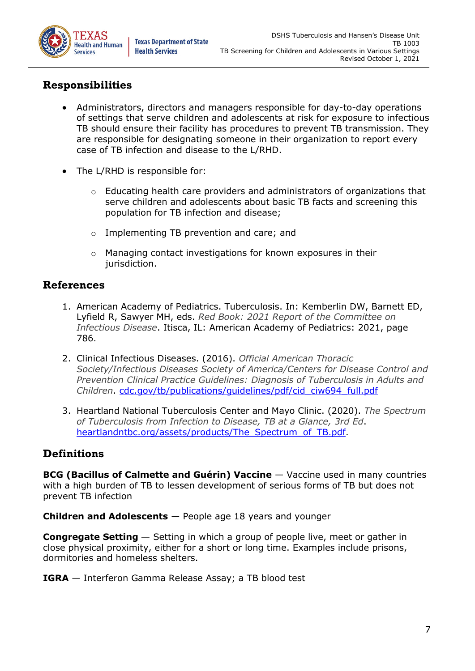

## **Responsibilities**

- Administrators, directors and managers responsible for day-to-day operations of settings that serve children and adolescents at risk for exposure to infectious TB should ensure their facility has procedures to prevent TB transmission. They are responsible for designating someone in their organization to report every case of TB infection and disease to the L/RHD.
- The L/RHD is responsible for:
	- $\circ$  Educating health care providers and administrators of organizations that serve children and adolescents about basic TB facts and screening this population for TB infection and disease;
	- o Implementing TB prevention and care; and
	- o Managing contact investigations for known exposures in their jurisdiction.

### **References**

- 1. American Academy of Pediatrics. Tuberculosis. In: Kemberlin DW, Barnett ED, Lyfield R, Sawyer MH, eds. *Red Book: 2021 Report of the Committee on Infectious Disease*. Itisca, IL: American Academy of Pediatrics: 2021, page 786.
- 2. Clinical Infectious Diseases. (2016). *Official American Thoracic Society/Infectious Diseases Society of America/Centers for Disease Control and Prevention Clinical Practice Guidelines: Diagnosis of Tuberculosis in Adults and Children*. [cdc.gov/tb/publications/guidelines/pdf/cid\\_ciw694\\_full.pdf](https://www.cdc.gov/tb/publications/guidelines/pdf/cid_ciw694_full.pdf)
- 3. Heartland National Tuberculosis Center and Mayo Clinic. (2020). *The Spectrum of Tuberculosis from Infection to Disease, TB at a Glance, 3rd Ed*. heartlandntbc.org/assets/products/The Spectrum of TB.pdf.

## **Definitions**

**BCG (Bacillus of Calmette and Guérin) Vaccine** — Vaccine used in many countries with a high burden of TB to lessen development of serious forms of TB but does not prevent TB infection

**Children and Adolescents** — People age 18 years and younger

**Congregate Setting** — Setting in which a group of people live, meet or gather in close physical proximity, either for a short or long time. Examples include prisons, dormitories and homeless shelters.

#### **IGRA** — Interferon Gamma Release Assay; a TB blood test